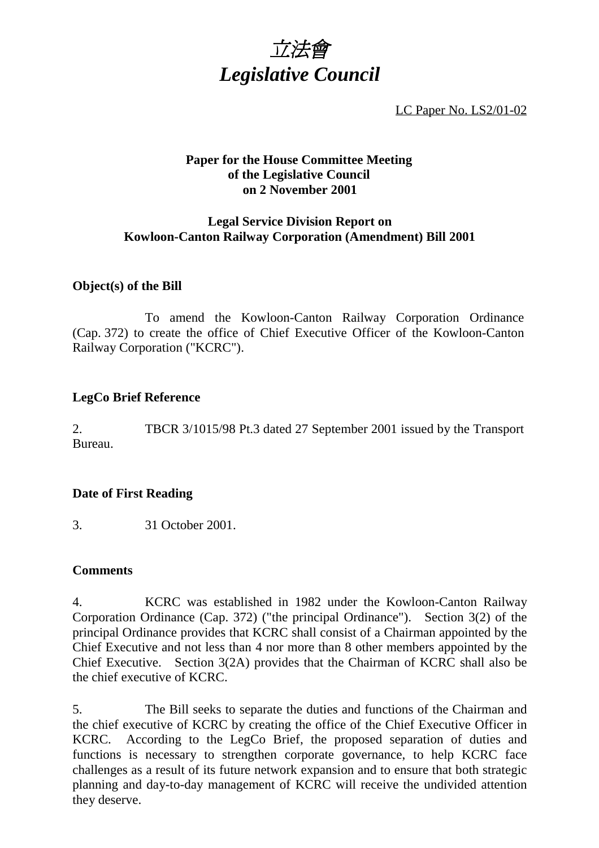

LC Paper No. LS2/01-02

## **Paper for the House Committee Meeting of the Legislative Council on 2 November 2001**

## **Legal Service Division Report on Kowloon-Canton Railway Corporation (Amendment) Bill 2001**

# **Object(s) of the Bill**

To amend the Kowloon-Canton Railway Corporation Ordinance (Cap. 372) to create the office of Chief Executive Officer of the Kowloon-Canton Railway Corporation ("KCRC").

## **LegCo Brief Reference**

2. TBCR 3/1015/98 Pt.3 dated 27 September 2001 issued by the Transport Bureau.

# **Date of First Reading**

3. 31 October 2001.

#### **Comments**

4. KCRC was established in 1982 under the Kowloon-Canton Railway Corporation Ordinance (Cap. 372) ("the principal Ordinance"). Section 3(2) of the principal Ordinance provides that KCRC shall consist of a Chairman appointed by the Chief Executive and not less than 4 nor more than 8 other members appointed by the Chief Executive. Section 3(2A) provides that the Chairman of KCRC shall also be the chief executive of KCRC.

5. The Bill seeks to separate the duties and functions of the Chairman and the chief executive of KCRC by creating the office of the Chief Executive Officer in KCRC. According to the LegCo Brief, the proposed separation of duties and functions is necessary to strengthen corporate governance, to help KCRC face challenges as a result of its future network expansion and to ensure that both strategic planning and day-to-day management of KCRC will receive the undivided attention they deserve.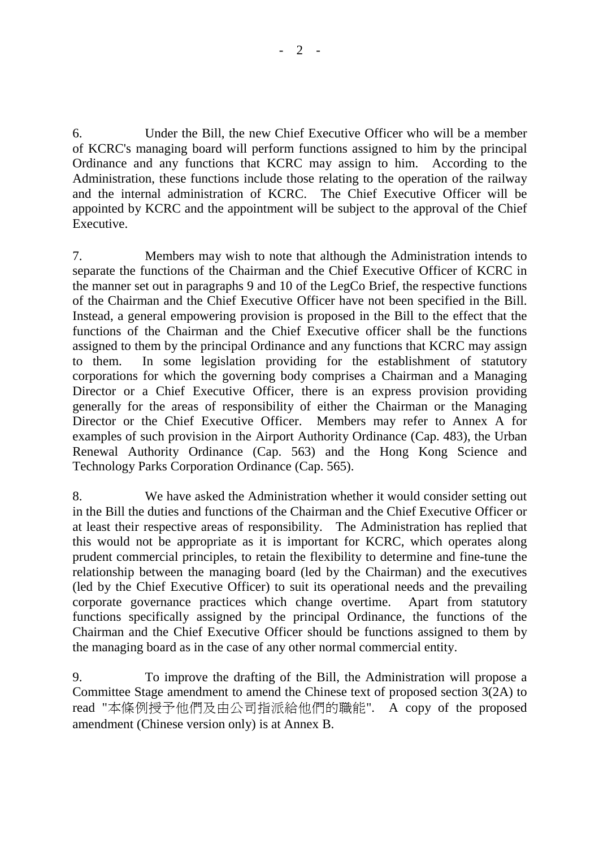6. Under the Bill, the new Chief Executive Officer who will be a member of KCRC's managing board will perform functions assigned to him by the principal Ordinance and any functions that KCRC may assign to him. According to the Administration, these functions include those relating to the operation of the railway and the internal administration of KCRC. The Chief Executive Officer will be appointed by KCRC and the appointment will be subject to the approval of the Chief Executive.

7. Members may wish to note that although the Administration intends to separate the functions of the Chairman and the Chief Executive Officer of KCRC in the manner set out in paragraphs 9 and 10 of the LegCo Brief, the respective functions of the Chairman and the Chief Executive Officer have not been specified in the Bill. Instead, a general empowering provision is proposed in the Bill to the effect that the functions of the Chairman and the Chief Executive officer shall be the functions assigned to them by the principal Ordinance and any functions that KCRC may assign to them. In some legislation providing for the establishment of statutory corporations for which the governing body comprises a Chairman and a Managing Director or a Chief Executive Officer, there is an express provision providing generally for the areas of responsibility of either the Chairman or the Managing Director or the Chief Executive Officer. Members may refer to Annex A for examples of such provision in the Airport Authority Ordinance (Cap. 483), the Urban Renewal Authority Ordinance (Cap. 563) and the Hong Kong Science and Technology Parks Corporation Ordinance (Cap. 565).

8. We have asked the Administration whether it would consider setting out in the Bill the duties and functions of the Chairman and the Chief Executive Officer or at least their respective areas of responsibility. The Administration has replied that this would not be appropriate as it is important for KCRC, which operates along prudent commercial principles, to retain the flexibility to determine and fine-tune the relationship between the managing board (led by the Chairman) and the executives (led by the Chief Executive Officer) to suit its operational needs and the prevailing corporate governance practices which change overtime. Apart from statutory functions specifically assigned by the principal Ordinance, the functions of the Chairman and the Chief Executive Officer should be functions assigned to them by the managing board as in the case of any other normal commercial entity.

9. To improve the drafting of the Bill, the Administration will propose a Committee Stage amendment to amend the Chinese text of proposed section 3(2A) to read "本條例授予他們及由公司指派給他們的職能". A copy of the proposed amendment (Chinese version only) is at Annex B.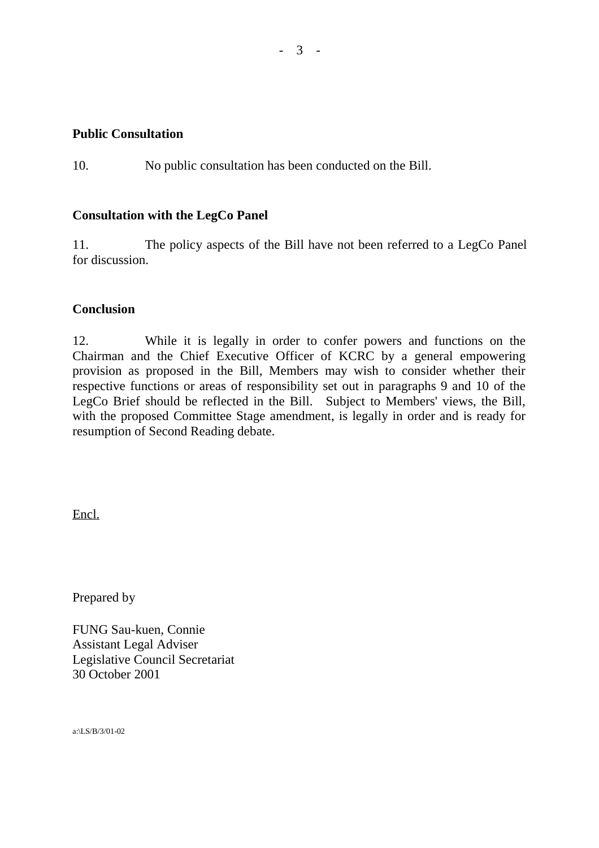#### **Public Consultation**

10. No public consultation has been conducted on the Bill.

## **Consultation with the LegCo Panel**

11. The policy aspects of the Bill have not been referred to a LegCo Panel for discussion.

## **Conclusion**

12. While it is legally in order to confer powers and functions on the Chairman and the Chief Executive Officer of KCRC by a general empowering provision as proposed in the Bill, Members may wish to consider whether their respective functions or areas of responsibility set out in paragraphs 9 and 10 of the LegCo Brief should be reflected in the Bill. Subject to Members' views, the Bill, with the proposed Committee Stage amendment, is legally in order and is ready for resumption of Second Reading debate.

Encl.

Prepared by

FUNG Sau-kuen, Connie Assistant Legal Adviser Legislative Council Secretariat 30 October 2001

a:\LS/B/3/01-02